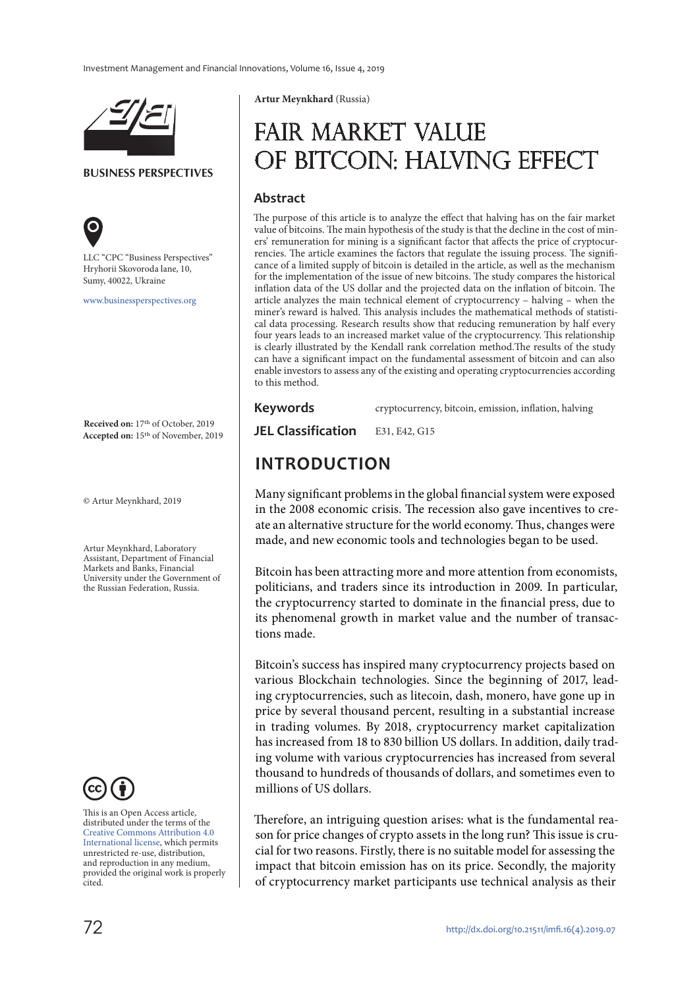

#### **BUSINESS PERSPECTIVES**



LLC "СPС "Business Perspectives" Hryhorii Skovoroda lane, 10, Sumy, 40022, Ukraine

[www.businessperspectives.org](http://www.businessperspectives.org)

**Received on:** 17th of October, 2019 **Accepted on:** 15th of November, 2019

© Artur Meynkhard, 2019

Artur Meynkhard, Laboratory Assistant, Department of Financial Markets and Banks, Financial University under the Government of the Russian Federation, Russia.



This is an Open Access article, distributed under the terms of the [Creative Commons Attribution 4.0](https://creativecommons.org/licenses/by/4.0/)  [International license](https://creativecommons.org/licenses/by/4.0/), which permits unrestricted re-use, distribution, and reproduction in any medium, provided the original work is properly cited.

**Artur Meynkhard** (Russia)

# Fair market value of bitcoin: halving effect

### **Abstract**

The purpose of this article is to analyze the effect that halving has on the fair market value of bitcoins. The main hypothesis of the study is that the decline in the cost of miners' remuneration for mining is a significant factor that affects the price of cryptocurrencies. The article examines the factors that regulate the issuing process. The significance of a limited supply of bitcoin is detailed in the article, as well as the mechanism for the implementation of the issue of new bitcoins. The study compares the historical inflation data of the US dollar and the projected data on the inflation of bitcoin. The article analyzes the main technical element of cryptocurrency – halving – when the miner's reward is halved. This analysis includes the mathematical methods of statistical data processing. Research results show that reducing remuneration by half every four years leads to an increased market value of the cryptocurrency. This relationship is clearly illustrated by the Kendall rank correlation method.The results of the study can have a significant impact on the fundamental assessment of bitcoin and can also enable investors to assess any of the existing and operating cryptocurrencies according to this method.

**Keywords** cryptocurrency, bitcoin, emission, inflation, halving

**JEL Classification** E31, E42, G15

### **INTRODUCTION**

Many significant problems in the global financial system were exposed in the 2008 economic crisis. The recession also gave incentives to create an alternative structure for the world economy. Thus, changes were made, and new economic tools and technologies began to be used.

Bitcoin has been attracting more and more attention from economists, politicians, and traders since its introduction in 2009. In particular, the cryptocurrency started to dominate in the financial press, due to its phenomenal growth in market value and the number of transactions made.

Bitcoin's success has inspired many cryptocurrency projects based on various Blockchain technologies. Since the beginning of 2017, leading cryptocurrencies, such as litecoin, dash, monero, have gone up in price by several thousand percent, resulting in a substantial increase in trading volumes. By 2018, cryptocurrency market capitalization has increased from 18 to 830 billion US dollars. In addition, daily trading volume with various cryptocurrencies has increased from several thousand to hundreds of thousands of dollars, and sometimes even to millions of US dollars.

Therefore, an intriguing question arises: what is the fundamental reason for price changes of crypto assets in the long run? This issue is crucial for two reasons. Firstly, there is no suitable model for assessing the impact that bitcoin emission has on its price. Secondly, the majority of cryptocurrency market participants use technical analysis as their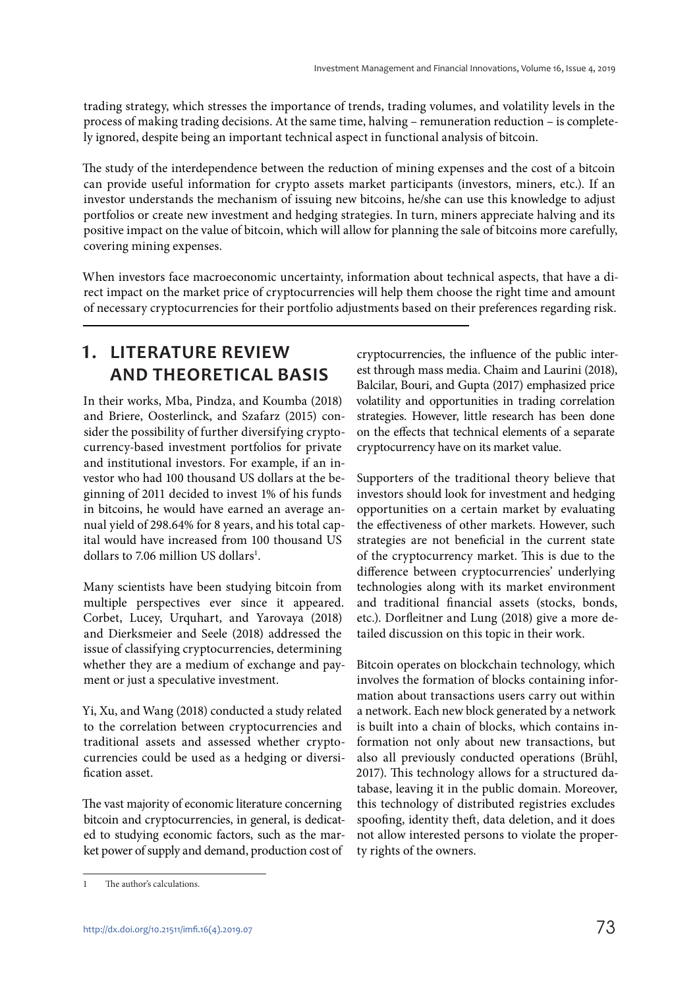trading strategy, which stresses the importance of trends, trading volumes, and volatility levels in the process of making trading decisions. At the same time, halving – remuneration reduction – is completely ignored, despite being an important technical aspect in functional analysis of bitcoin.

The study of the interdependence between the reduction of mining expenses and the cost of a bitcoin can provide useful information for crypto assets market participants (investors, miners, etc.). If an investor understands the mechanism of issuing new bitcoins, he/she can use this knowledge to adjust portfolios or create new investment and hedging strategies. In turn, miners appreciate halving and its positive impact on the value of bitcoin, which will allow for planning the sale of bitcoins more carefully, covering mining expenses.

When investors face macroeconomic uncertainty, information about technical aspects, that have a direct impact on the market price of cryptocurrencies will help them choose the right time and amount of necessary cryptocurrencies for their portfolio adjustments based on their preferences regarding risk.

## **1. LITERATURE REVIEW AND THEORETICAL BASIS**

In their works, Mba, Pindza, and Koumba (2018) and Briere, Oosterlinck, and Szafarz (2015) consider the possibility of further diversifying cryptocurrency-based investment portfolios for private and institutional investors. For example, if an investor who had 100 thousand US dollars at the beginning of 2011 decided to invest 1% of his funds in bitcoins, he would have earned an average annual yield of 298.64% for 8 years, and his total capital would have increased from 100 thousand US dollars to 7.06 million US dollars<sup>1</sup>.

Many scientists have been studying bitcoin from multiple perspectives ever since it appeared. Corbet, Lucey, Urquhart, and Yarovaya (2018) and Dierksmeier and Seele (2018) addressed the issue of classifying cryptocurrencies, determining whether they are a medium of exchange and payment or just a speculative investment.

Yi, Xu, and Wang (2018) conducted a study related to the correlation between cryptocurrencies and traditional assets and assessed whether cryptocurrencies could be used as a hedging or diversification asset.

The vast majority of economic literature concerning bitcoin and cryptocurrencies, in general, is dedicated to studying economic factors, such as the market power of supply and demand, production cost of

cryptocurrencies, the influence of the public interest through mass media. Chaim and Laurini (2018), Balcilar, Bouri, and Gupta (2017) emphasized price volatility and opportunities in trading correlation strategies. However, little research has been done on the effects that technical elements of a separate cryptocurrency have on its market value.

Supporters of the traditional theory believe that investors should look for investment and hedging opportunities on a certain market by evaluating the effectiveness of other markets. However, such strategies are not beneficial in the current state of the cryptocurrency market. This is due to the difference between cryptocurrencies' underlying technologies along with its market environment and traditional financial assets (stocks, bonds, etc.). Dorfleitner and Lung (2018) give a more detailed discussion on this topic in their work.

Bitcoin operates on blockchain technology, which involves the formation of blocks containing information about transactions users carry out within a network. Each new block generated by a network is built into a chain of blocks, which contains information not only about new transactions, but also all previously conducted operations (Brühl, 2017). This technology allows for a structured database, leaving it in the public domain. Moreover, this technology of distributed registries excludes spoofing, identity theft, data deletion, and it does not allow interested persons to violate the property rights of the owners.

The author's calculations.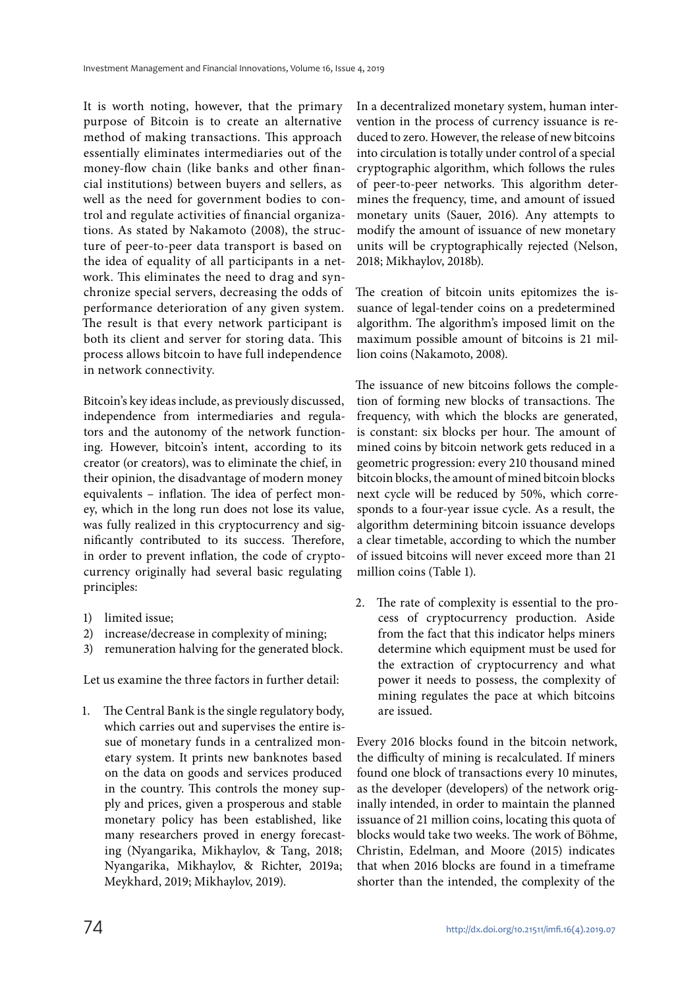It is worth noting, however, that the primary purpose of Bitcoin is to create an alternative method of making transactions. This approach essentially eliminates intermediaries out of the money-flow chain (like banks and other financial institutions) between buyers and sellers, as well as the need for government bodies to control and regulate activities of financial organizations. As stated by Nakamoto (2008), the structure of peer-to-peer data transport is based on the idea of equality of all participants in a network. This eliminates the need to drag and synchronize special servers, decreasing the odds of performance deterioration of any given system. The result is that every network participant is both its client and server for storing data. This process allows bitcoin to have full independence in network connectivity.

Bitcoin's key ideas include, as previously discussed, independence from intermediaries and regulators and the autonomy of the network functioning. However, bitcoin's intent, according to its creator (or creators), was to eliminate the chief, in their opinion, the disadvantage of modern money equivalents – inflation. The idea of perfect money, which in the long run does not lose its value, was fully realized in this cryptocurrency and significantly contributed to its success. Therefore, in order to prevent inflation, the code of cryptocurrency originally had several basic regulating principles:

- 1) limited issue;
- 2) increase/decrease in complexity of mining;
- 3) remuneration halving for the generated block.

Let us examine the three factors in further detail:

1. The Central Bank is the single regulatory body, which carries out and supervises the entire issue of monetary funds in a centralized monetary system. It prints new banknotes based on the data on goods and services produced in the country. This controls the money supply and prices, given a prosperous and stable monetary policy has been established, like many researchers proved in energy forecasting (Nyangarika, Mikhaylov, & Tang, 2018; Nyangarika, Mikhaylov, & Richter, 2019a; Meykhard, 2019; Mikhaylov, 2019).

In a decentralized monetary system, human intervention in the process of currency issuance is reduced to zero. However, the release of new bitcoins into circulation is totally under control of a special cryptographic algorithm, which follows the rules of peer-to-peer networks. This algorithm determines the frequency, time, and amount of issued monetary units (Sauer, 2016). Any attempts to modify the amount of issuance of new monetary units will be cryptographically rejected (Nelson, 2018; Mikhaylov, 2018b).

The creation of bitcoin units epitomizes the issuance of legal-tender coins on a predetermined algorithm. The algorithm's imposed limit on the maximum possible amount of bitcoins is 21 million coins (Nakamoto, 2008).

The issuance of new bitcoins follows the completion of forming new blocks of transactions. The frequency, with which the blocks are generated, is constant: six blocks per hour. The amount of mined coins by bitcoin network gets reduced in a geometric progression: every 210 thousand mined bitcoin blocks, the amount of mined bitcoin blocks next cycle will be reduced by 50%, which corresponds to a four-year issue cycle. As a result, the algorithm determining bitcoin issuance develops a clear timetable, according to which the number of issued bitcoins will never exceed more than 21 million coins (Table 1).

2. The rate of complexity is essential to the process of cryptocurrency production. Aside from the fact that this indicator helps miners determine which equipment must be used for the extraction of cryptocurrency and what power it needs to possess, the complexity of mining regulates the pace at which bitcoins are issued.

Every 2016 blocks found in the bitcoin network, the difficulty of mining is recalculated. If miners found one block of transactions every 10 minutes, as the developer (developers) of the network originally intended, in order to maintain the planned issuance of 21 million coins, locating this quota of blocks would take two weeks. The work of Böhme, Christin, Edelman, and Moore (2015) indicates that when 2016 blocks are found in a timeframe shorter than the intended, the complexity of the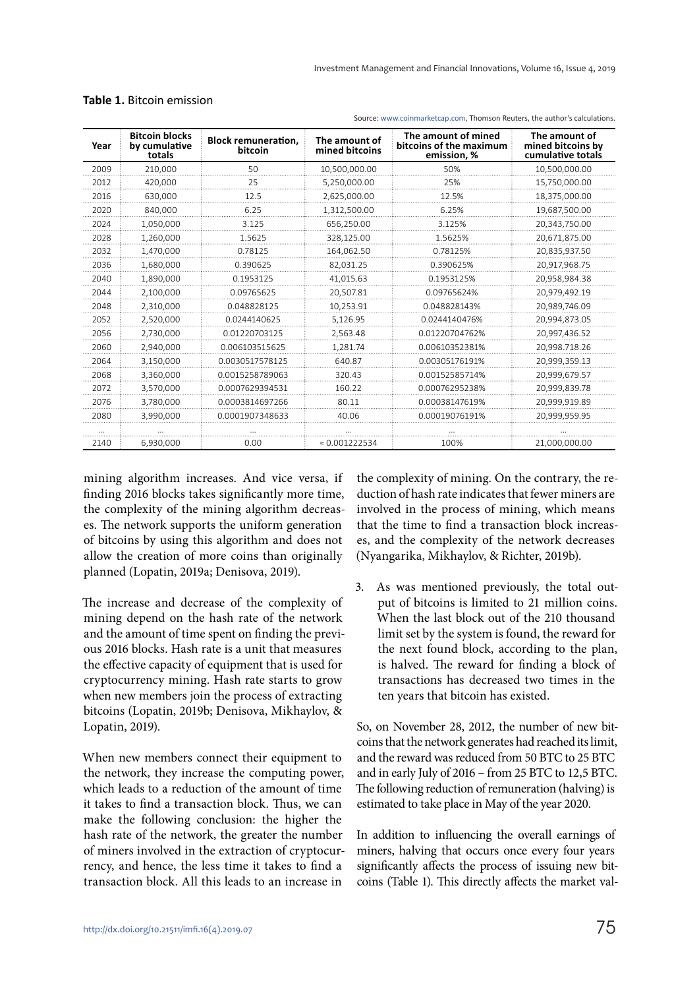| Year | <b>Bitcoin blocks</b><br>by cumulative<br>totals | <b>Block remuneration,</b><br>bitcoin | The amount of<br>mined bitcoins | The amount of mined<br>bitcoins of the maximum<br>emission, % | The amount of<br>mined bitcoins by<br>cumulative totals |
|------|--------------------------------------------------|---------------------------------------|---------------------------------|---------------------------------------------------------------|---------------------------------------------------------|
| 2009 | 210,000                                          | 50                                    | 10,500,000.00                   | 50%                                                           | 10,500,000.00                                           |
| 2012 | 420,000                                          | 25                                    | 5,250,000.00                    | 25%                                                           | 15,750,000.00                                           |
| 2016 | 630,000                                          | 12.5                                  | 2,625,000.00                    | 12.5%                                                         | 18,375,000.00                                           |
| 2020 | 840.000                                          | 6.25                                  | 1,312,500.00                    | 6.25%                                                         | 19,687,500.00                                           |
| 2024 | 1,050,000                                        | 3.125                                 | 656,250.00                      | 3.125%                                                        | 20,343,750.00                                           |
| 2028 | 1,260,000                                        | 1.5625                                | 328,125.00                      | 1.5625%                                                       | 20,671,875.00                                           |
| 2032 | 1,470,000                                        | 0.78125                               | 164,062.50                      | 0.78125%                                                      | 20,835,937.50                                           |
| 2036 | 1,680,000                                        | 0.390625                              | 82,031.25                       | 0.390625%                                                     | 20,917,968.75                                           |
| 2040 | 1,890,000                                        | 0.1953125                             | 41.015.63                       | 0.1953125%                                                    | 20,958,984.38                                           |
| 2044 | 2,100,000                                        | 0.09765625                            | 20,507.81                       | 0.09765624%                                                   | 20,979,492.19                                           |
| 2048 | 2,310,000                                        | 0.048828125                           | 10,253.91                       | 0.048828143%                                                  | 20,989,746.09                                           |
| 2052 | 2,520,000                                        | 0.0244140625                          | 5,126.95                        | 0.0244140476%                                                 | 20,994,873.05                                           |
| 2056 | 2,730,000                                        | 0.01220703125                         | 2,563.48                        | 0.01220704762%                                                | 20,997,436.52                                           |
| 2060 | 2,940,000                                        | 0.006103515625                        | 1,281.74                        | 0.00610352381%                                                | 20,998.718.26                                           |
| 2064 | 3,150,000                                        | 0.0030517578125                       | 640.87                          | 0.00305176191%                                                | 20,999,359.13                                           |
| 2068 | 3,360,000                                        | 0.0015258789063                       | 320.43                          | 0.00152585714%                                                | 20,999,679.57                                           |
| 2072 | 3,570,000                                        | 0.0007629394531                       | 160.22                          | 0.00076295238%                                                | 20,999,839.78                                           |
| 2076 | 3,780,000                                        | 0.0003814697266                       | 80.11                           | 0.00038147619%                                                | 20,999,919.89                                           |
| 2080 | 3,990,000                                        | 0.0001907348633                       | 40.06                           | 0.00019076191%                                                | 20,999,959.95                                           |
|      |                                                  |                                       |                                 |                                                               |                                                         |
| 2140 | 6.930.000                                        | 0.00                                  | $\approx 0.001222534$           | 100%                                                          | 21.000.000.00                                           |

#### **Table 1.** Bitcoin emission

Source: [www.coinmarketcap.com,](http://www.coinmarketcap.com) Thomson Reuters, the author's calculations.

mining algorithm increases. And vice versa, if finding 2016 blocks takes significantly more time, the complexity of the mining algorithm decreases. The network supports the uniform generation of bitcoins by using this algorithm and does not allow the creation of more coins than originally planned (Lopatin, 2019a; Denisova, 2019).

The increase and decrease of the complexity of mining depend on the hash rate of the network and the amount of time spent on finding the previous 2016 blocks. Hash rate is a unit that measures the effective capacity of equipment that is used for cryptocurrency mining. Hash rate starts to grow when new members join the process of extracting bitcoins (Lopatin, 2019b; Denisova, Mikhaylov, & Lopatin, 2019).

When new members connect their equipment to the network, they increase the computing power, which leads to a reduction of the amount of time it takes to find a transaction block. Thus, we can make the following conclusion: the higher the hash rate of the network, the greater the number of miners involved in the extraction of cryptocurrency, and hence, the less time it takes to find a transaction block. All this leads to an increase in

the complexity of mining. On the contrary, the reduction of hash rate indicates that fewer miners are involved in the process of mining, which means that the time to find a transaction block increases, and the complexity of the network decreases (Nyangarika, Mikhaylov, & Richter, 2019b).

3. As was mentioned previously, the total output of bitcoins is limited to 21 million coins. When the last block out of the 210 thousand limit set by the system is found, the reward for the next found block, according to the plan, is halved. The reward for finding a block of transactions has decreased two times in the ten years that bitcoin has existed.

So, on November 28, 2012, the number of new bitcoins that the network generates had reached its limit, and the reward was reduced from 50 BTC to 25 BTC and in early July of 2016 – from 25 BTC to 12,5 BTC. The following reduction of remuneration (halving) is estimated to take place in May of the year 2020.

In addition to influencing the overall earnings of miners, halving that occurs once every four years significantly affects the process of issuing new bitcoins (Table 1). This directly affects the market val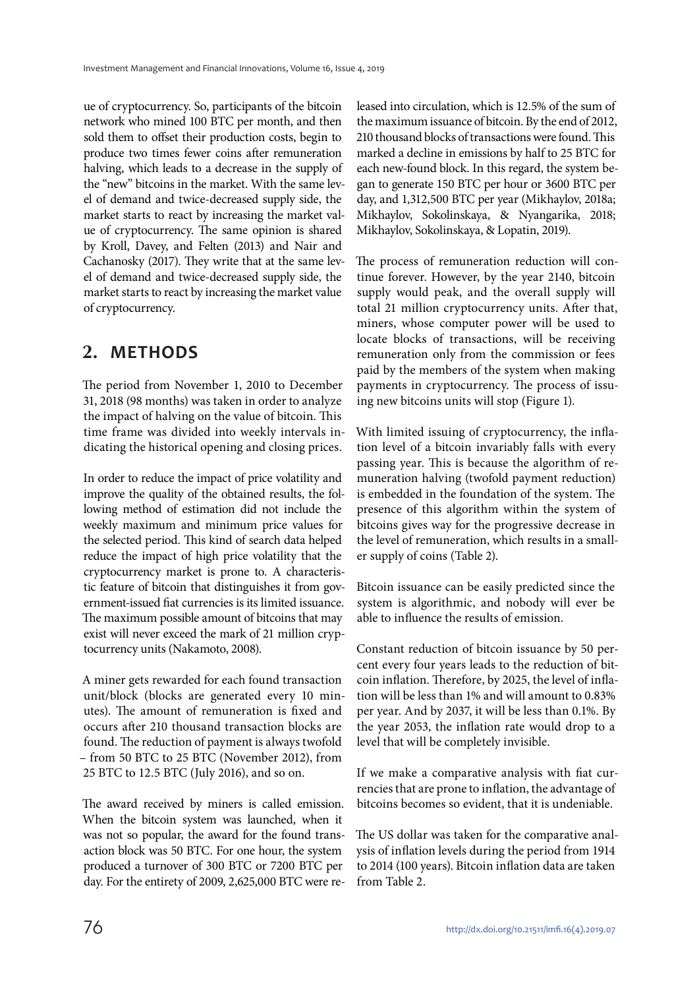ue of cryptocurrency. So, participants of the bitcoin network who mined 100 BTC per month, and then sold them to offset their production costs, begin to produce two times fewer coins after remuneration halving, which leads to a decrease in the supply of the "new" bitcoins in the market. With the same level of demand and twice-decreased supply side, the market starts to react by increasing the market value of cryptocurrency. The same opinion is shared by Kroll, Davey, and Felten (2013) and Nair and Cachanosky (2017). They write that at the same level of demand and twice-decreased supply side, the market starts to react by increasing the market value of cryptocurrency.

### **2. METHODS**

The period from November 1, 2010 to December 31, 2018 (98 months) was taken in order to analyze the impact of halving on the value of bitcoin. This time frame was divided into weekly intervals indicating the historical opening and closing prices.

In order to reduce the impact of price volatility and improve the quality of the obtained results, the following method of estimation did not include the weekly maximum and minimum price values for the selected period. This kind of search data helped reduce the impact of high price volatility that the cryptocurrency market is prone to. A characteristic feature of bitcoin that distinguishes it from government-issued fiat currencies is its limited issuance. The maximum possible amount of bitcoins that may exist will never exceed the mark of 21 million cryptocurrency units (Nakamoto, 2008).

A miner gets rewarded for each found transaction unit/block (blocks are generated every 10 minutes). The amount of remuneration is fixed and occurs after 210 thousand transaction blocks are found. The reduction of payment is always twofold – from 50 BTC to 25 BTC (November 2012), from 25 BTC to 12.5 BTC (July 2016), and so on.

The award received by miners is called emission. When the bitcoin system was launched, when it was not so popular, the award for the found transaction block was 50 BTC. For one hour, the system produced a turnover of 300 BTC or 7200 BTC per day. For the entirety of 2009, 2,625,000 BTC were released into circulation, which is 12.5% of the sum of the maximum issuance of bitcoin. By the end of 2012, 210 thousand blocks of transactions were found. This marked a decline in emissions by half to 25 BTC for each new-found block. In this regard, the system began to generate 150 BTC per hour or 3600 BTC per day, and 1,312,500 BTC per year (Mikhaylov, 2018a; Mikhaylov, Sokolinskaya, & Nyangarika, 2018; Mikhaylov, Sokolinskaya, & Lopatin, 2019).

The process of remuneration reduction will continue forever. However, by the year 2140, bitcoin supply would peak, and the overall supply will total 21 million cryptocurrency units. After that, miners, whose computer power will be used to locate blocks of transactions, will be receiving remuneration only from the commission or fees paid by the members of the system when making payments in cryptocurrency. The process of issuing new bitcoins units will stop (Figure 1).

With limited issuing of cryptocurrency, the inflation level of a bitcoin invariably falls with every passing year. This is because the algorithm of remuneration halving (twofold payment reduction) is embedded in the foundation of the system. The presence of this algorithm within the system of bitcoins gives way for the progressive decrease in the level of remuneration, which results in a smaller supply of coins (Table 2).

Bitcoin issuance can be easily predicted since the system is algorithmic, and nobody will ever be able to influence the results of emission.

Constant reduction of bitcoin issuance by 50 percent every four years leads to the reduction of bitcoin inflation. Therefore, by 2025, the level of inflation will be less than 1% and will amount to 0.83% per year. And by 2037, it will be less than 0.1%. By the year 2053, the inflation rate would drop to a level that will be completely invisible.

If we make a comparative analysis with fiat currencies that are prone to inflation, the advantage of bitcoins becomes so evident, that it is undeniable.

The US dollar was taken for the comparative analysis of inflation levels during the period from 1914 to 2014 (100 years). Bitcoin inflation data are taken from Table 2.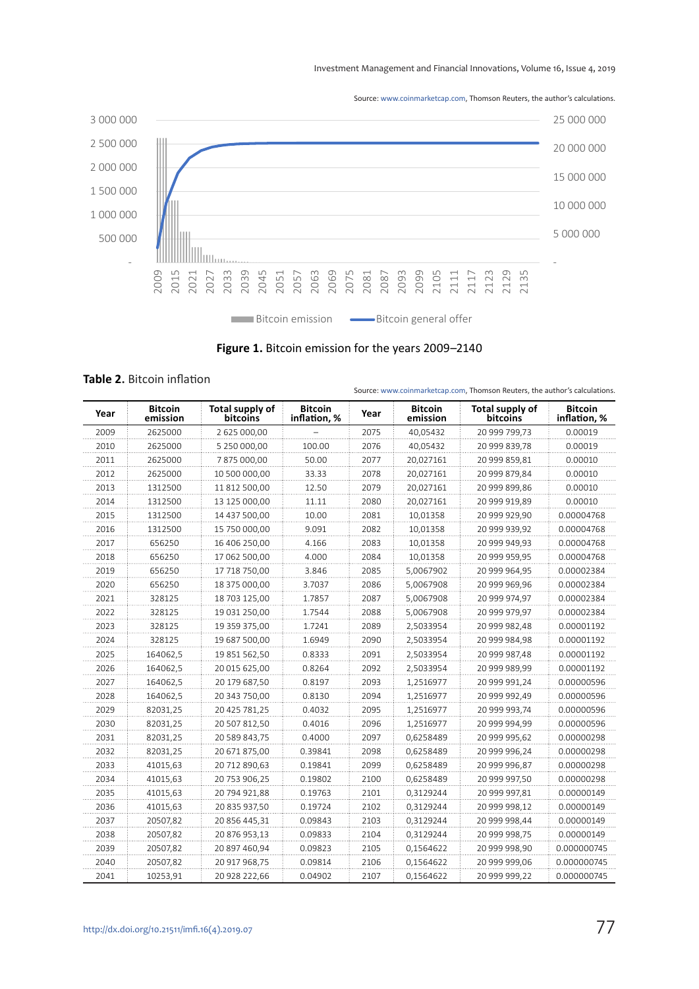Investment Management and Financial Innovations, Volume 16, Issue 4, 2019

Source: [www.coinmarketcap.com,](http://www.coinmarketcap.com) Thomson Reuters, the author's calculations.



**Figure 1.** Bitcoin emission for the years 2009–2140

|  |  | <b>Table 2. Bitcoin inflation</b> |
|--|--|-----------------------------------|
|--|--|-----------------------------------|

| Year | <b>Bitcoin</b><br>emission | Total supply of<br><b>bitcoins</b> | <b>Bitcoin</b><br>inflation, % | Year | <b>Bitcoin</b><br>emission | Total supply of<br><b>bitcoins</b> | <b>Bitcoin</b><br>inflation, % |
|------|----------------------------|------------------------------------|--------------------------------|------|----------------------------|------------------------------------|--------------------------------|
| 2009 | 2625000                    | 2 625 000.00                       |                                | 2075 | 40.05432                   | 20 999 799.73                      | 0.00019                        |
| 2010 | 2625000                    | 5 250 000,00                       | 100.00                         | 2076 | 40,05432                   | 20 999 839,78                      | 0.00019                        |
| 2011 | 2625000                    | 7875000,00                         | 50.00                          | 2077 | 20,027161                  | 20 999 859,81                      | 0.00010                        |
| 2012 | 2625000                    | 10 500 000,00                      | 33.33                          | 2078 | 20,027161                  | 20 999 879,84                      | 0.00010                        |
| 2013 | 1312500                    | 11 812 500,00                      | 12.50                          | 2079 | 20,027161                  | 20 999 899,86                      | 0.00010                        |
| 2014 | 1312500                    | 13 125 000,00                      | 11.11                          | 2080 | 20,027161                  | 20 999 919,89                      | 0.00010                        |
| 2015 | 1312500                    | 14 437 500,00                      | 10.00                          | 2081 | 10,01358                   | 20 999 929,90                      | 0.00004768                     |
| 2016 | 1312500                    | 15 750 000,00                      | 9.091                          | 2082 | 10,01358                   | 20 999 939,92                      | 0.00004768                     |
| 2017 | 656250                     | 16 406 250,00                      | 4.166                          | 2083 | 10,01358                   | 20 999 949,93                      | 0.00004768                     |
| 2018 | 656250                     | 17 062 500,00                      | 4.000                          | 2084 | 10,01358                   | 20 999 959,95                      | 0.00004768                     |
| 2019 | 656250                     | 17 718 750,00                      | 3.846                          | 2085 | 5,0067902                  | 20 999 964,95                      | 0.00002384                     |
| 2020 | 656250                     | 18 375 000,00                      | 3.7037                         | 2086 | 5,0067908                  | 20 999 969,96                      | 0.00002384                     |
| 2021 | 328125                     | 18 703 125,00                      | 1.7857                         | 2087 | 5,0067908                  | 20 999 974,97                      | 0.00002384                     |
| 2022 | 328125                     | 19 031 250,00                      | 1.7544                         | 2088 | 5,0067908                  | 20 999 979,97                      | 0.00002384                     |
| 2023 | 328125                     | 19 359 375,00                      | 1.7241                         | 2089 | 2,5033954                  | 20 999 982,48                      | 0.00001192                     |
| 2024 | 328125                     | 19 687 500,00                      | 1.6949                         | 2090 | 2,5033954                  | 20 999 984,98                      | 0.00001192                     |
| 2025 | 164062,5                   | 19 851 562,50                      | 0.8333                         | 2091 | 2,5033954                  | 20 999 987,48                      | 0.00001192                     |
| 2026 | 164062.5                   | 20 015 625,00                      | 0.8264                         | 2092 | 2,5033954                  | 20 999 989,99                      | 0.00001192                     |
| 2027 | 164062,5                   | 20 179 687,50                      | 0.8197                         | 2093 | 1,2516977                  | 20 999 991,24                      | 0.00000596                     |
| 2028 | 164062,5                   | 20 343 750,00                      | 0.8130                         | 2094 | 1,2516977                  | 20 999 992,49                      | 0.00000596                     |
| 2029 | 82031,25                   | 20 425 781,25                      | 0.4032                         | 2095 | 1,2516977                  | 20 999 993,74                      | 0.00000596                     |
| 2030 | 82031,25                   | 20 507 812,50                      | 0.4016                         | 2096 | 1,2516977                  | 20 999 994,99                      | 0.00000596                     |
| 2031 | 82031,25                   | 20 589 843,75                      | 0.4000                         | 2097 | 0,6258489                  | 20 999 995,62                      | 0.00000298                     |
| 2032 | 82031,25                   | 20 671 875,00                      | 0.39841                        | 2098 | 0,6258489                  | 20 999 996,24                      | 0.00000298                     |
| 2033 | 41015,63                   | 20 712 890,63                      | 0.19841                        | 2099 | 0,6258489                  | 20 999 996,87                      | 0.00000298                     |
| 2034 | 41015,63                   | 20 753 906,25                      | 0.19802                        | 2100 | 0,6258489                  | 20 999 997,50                      | 0.00000298                     |
| 2035 | 41015,63                   | 20 794 921,88                      | 0.19763                        | 2101 | 0.3129244                  | 20 999 997,81                      | 0.00000149                     |
| 2036 | 41015,63                   | 20 835 937,50                      | 0.19724                        | 2102 | 0,3129244                  | 20 999 998,12                      | 0.00000149                     |
| 2037 | 20507,82                   | 20 856 445,31                      | 0.09843                        | 2103 | 0,3129244                  | 20 999 998,44                      | 0.00000149                     |
| 2038 | 20507,82                   | 20 876 953,13                      | 0.09833                        | 2104 | 0,3129244                  | 20 999 998,75                      | 0.00000149                     |
| 2039 | 20507,82                   | 20 897 460,94                      | 0.09823                        | 2105 | 0,1564622                  | 20 999 998,90                      | 0.000000745                    |
| 2040 | 20507,82                   | 20 917 968,75                      | 0.09814                        | 2106 | 0,1564622                  | 20 999 999,06                      | 0.000000745                    |
| 2041 | 10253,91                   | 20 928 222,66                      | 0.04902                        | 2107 | 0,1564622                  | 20 999 999,22                      | 0.000000745                    |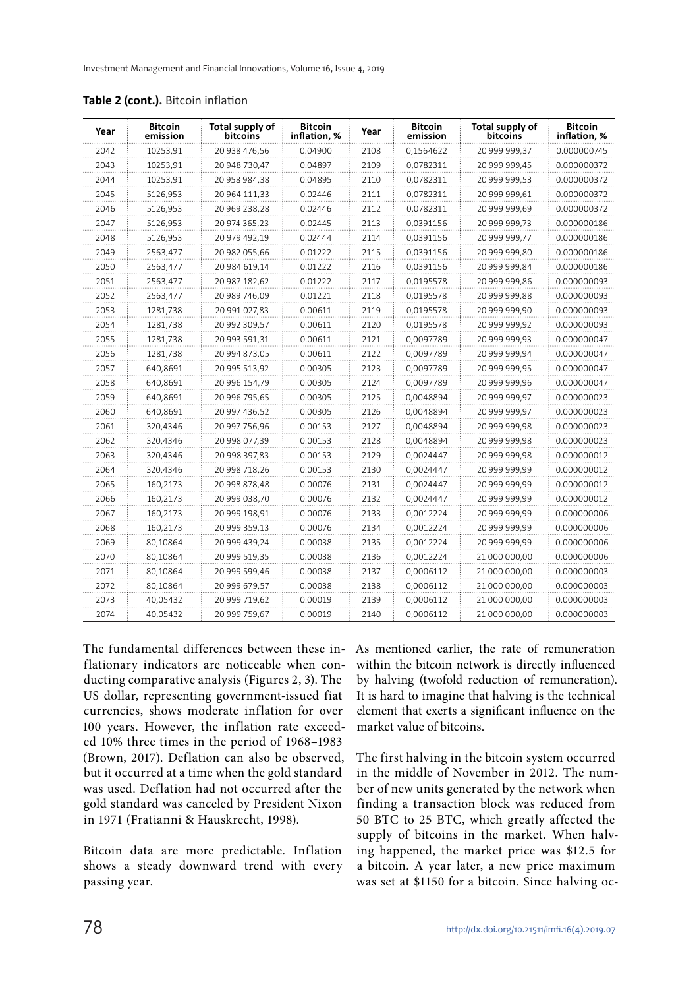| Year | <b>Bitcoin</b><br>emission | Total supply of<br>bitcoins | <b>Bitcoin</b><br>inflation, % | Year | <b>Bitcoin</b><br>emission | <b>Total supply of</b><br>bitcoins | <b>Bitcoin</b><br>inflation, % |
|------|----------------------------|-----------------------------|--------------------------------|------|----------------------------|------------------------------------|--------------------------------|
| 2042 | 10253,91                   | 20 938 476.56               | 0.04900                        | 2108 | 0,1564622                  | 20 999 999.37                      | 0.000000745                    |
| 2043 | 10253,91                   | 20 948 730,47               | 0.04897                        | 2109 | 0,0782311                  | 20 999 999,45                      | 0.000000372                    |
| 2044 | 10253,91                   | 20 958 984,38               | 0.04895                        | 2110 | 0,0782311                  | 20 999 999,53                      | 0.000000372                    |
| 2045 | 5126,953                   | 20 964 111,33               | 0.02446                        | 2111 | 0,0782311                  | 20 999 999,61                      | 0.000000372                    |
| 2046 | 5126,953                   | 20 969 238,28               | 0.02446                        | 2112 | 0.0782311                  | 20 999 999.69                      | 0.000000372                    |
| 2047 | 5126,953                   | 20 974 365,23               | 0.02445                        | 2113 | 0,0391156                  | 20 999 999,73                      | 0.000000186                    |
| 2048 | 5126,953                   | 20 979 492,19               | 0.02444                        | 2114 | 0,0391156                  | 20 999 999,77                      | 0.000000186                    |
| 2049 | 2563,477                   | 20 982 055,66               | 0.01222                        | 2115 | 0,0391156                  | 20 999 999,80                      | 0.000000186                    |
| 2050 | 2563,477                   | 20 984 619,14               | 0.01222                        | 2116 | 0,0391156                  | 20 999 999,84                      | 0.000000186                    |
| 2051 | 2563,477                   | 20 987 182,62               | 0.01222                        | 2117 | 0,0195578                  | 20 999 999,86                      | 0.000000093                    |
| 2052 | 2563,477                   | 20 989 746,09               | 0.01221                        | 2118 | 0,0195578                  | 20 999 999,88                      | 0.000000093                    |
| 2053 | 1281,738                   | 20 991 027,83               | 0.00611                        | 2119 | 0,0195578                  | 20 999 999,90                      | 0.000000093                    |
| 2054 | 1281,738                   | 20 992 309,57               | 0.00611                        | 2120 | 0,0195578                  | 20 999 999,92                      | 0.000000093                    |
| 2055 | 1281,738                   | 20 993 591,31               | 0.00611                        | 2121 | 0,0097789                  | 20 999 999,93                      | 0.000000047                    |
| 2056 | 1281,738                   | 20 994 873,05               | 0.00611                        | 2122 | 0,0097789                  | 20 999 999,94                      | 0.000000047                    |
| 2057 | 640,8691                   | 20 995 513,92               | 0.00305                        | 2123 | 0,0097789                  | 20 999 999,95                      | 0.000000047                    |
| 2058 | 640,8691                   | 20 996 154,79               | 0.00305                        | 2124 | 0,0097789                  | 20 999 999,96                      | 0.000000047                    |
| 2059 | 640.8691                   | 20 996 795,65               | 0.00305                        | 2125 | 0.0048894                  | 20 999 999,97                      | 0.000000023                    |
| 2060 | 640,8691                   | 20 997 436,52               | 0.00305                        | 2126 | 0,0048894                  | 20 999 999,97                      | 0.000000023                    |
| 2061 | 320,4346                   | 20 997 756,96               | 0.00153                        | 2127 | 0,0048894                  | 20 999 999,98                      | 0.000000023                    |
| 2062 | 320,4346                   | 20 998 077,39               | 0.00153                        | 2128 | 0,0048894                  | 20 999 999,98                      | 0.000000023                    |
| 2063 | 320,4346                   | 20 998 397,83               | 0.00153                        | 2129 | 0,0024447                  | 20 999 999,98                      | 0.000000012                    |
| 2064 | 320,4346                   | 20 998 718,26               | 0.00153                        | 2130 | 0,0024447                  | 20 999 999,99                      | 0.000000012                    |
| 2065 | 160,2173                   | 20 998 878,48               | 0.00076                        | 2131 | 0,0024447                  | 20 999 999,99                      | 0.000000012                    |
| 2066 | 160,2173                   | 20 999 038,70               | 0.00076                        | 2132 | 0,0024447                  | 20 999 999,99                      | 0.000000012                    |
| 2067 | 160,2173                   | 20 999 198,91               | 0.00076                        | 2133 | 0,0012224                  | 20 999 999,99                      | 0.000000006                    |
| 2068 | 160,2173                   | 20 999 359,13               | 0.00076                        | 2134 | 0,0012224                  | 20 999 999,99                      | 0.000000006                    |
| 2069 | 80,10864                   | 20 999 439,24               | 0.00038                        | 2135 | 0,0012224                  | 20 999 999,99                      | 0.000000006                    |
| 2070 | 80,10864                   | 20 999 519,35               | 0.00038                        | 2136 | 0,0012224                  | 21 000 000,00                      | 0.000000006                    |
| 2071 | 80.10864                   | 20 999 599,46               | 0.00038                        | 2137 | 0,0006112                  | 21 000 000,00                      | 0.000000003                    |
| 2072 | 80,10864                   | 20 999 679,57               | 0.00038                        | 2138 | 0,0006112                  | 21 000 000,00                      | 0.000000003                    |
| 2073 | 40.05432                   | 20 999 719,62               | 0.00019                        | 2139 | 0,0006112                  | 21 000 000,00                      | 0.000000003                    |
| 2074 | 40,05432                   | 20 999 759,67               | 0.00019                        | 2140 | 0,0006112                  | 21 000 000,00                      | 0.000000003                    |

**Table 2 (cont.).** Bitcoin inflation

The fundamental differences between these inflationary indicators are noticeable when conducting comparative analysis (Figures 2, 3). The US dollar, representing government-issued fiat currencies, shows moderate inflation for over 100 years. However, the inflation rate exceeded 10% three times in the period of 1968–1983 (Brown, 2017). Deflation can also be observed, but it occurred at a time when the gold standard was used. Deflation had not occurred after the gold standard was canceled by President Nixon in 1971 (Fratianni & Hauskrecht, 1998).

Bitcoin data are more predictable. Inflation shows a steady downward trend with every passing year.

As mentioned earlier, the rate of remuneration within the bitcoin network is directly influenced by halving (twofold reduction of remuneration). It is hard to imagine that halving is the technical element that exerts a significant influence on the market value of bitcoins.

The first halving in the bitcoin system occurred in the middle of November in 2012. The number of new units generated by the network when finding a transaction block was reduced from 50 BTC to 25 BTC, which greatly affected the supply of bitcoins in the market. When halving happened, the market price was \$12.5 for a bitcoin. A year later, a new price maximum was set at \$1150 for a bitcoin. Since halving oc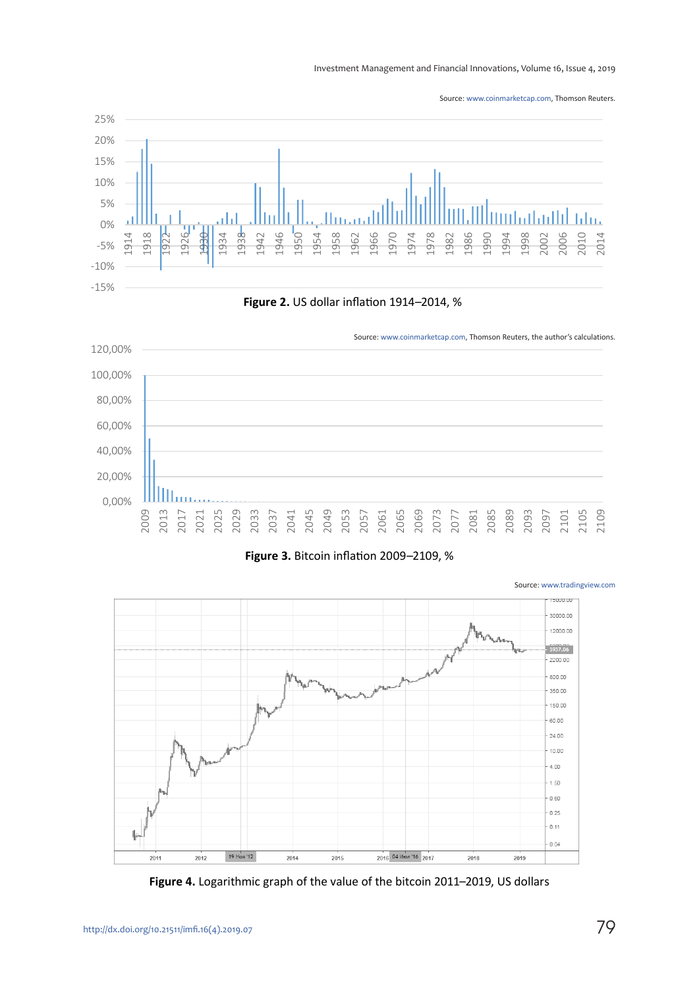Investment Management and Financial Innovations, Volume 16, Issue 4, 2019

Source: [www.coinmarketcap.com,](http://www.coinmarketcap.com) Thomson Reuters.





**Figure 3.** Bitcoin inflation 2009–2109, %



**Figure 4.** Logarithmic graph of the value of the bitcoin 2011–2019, US dollars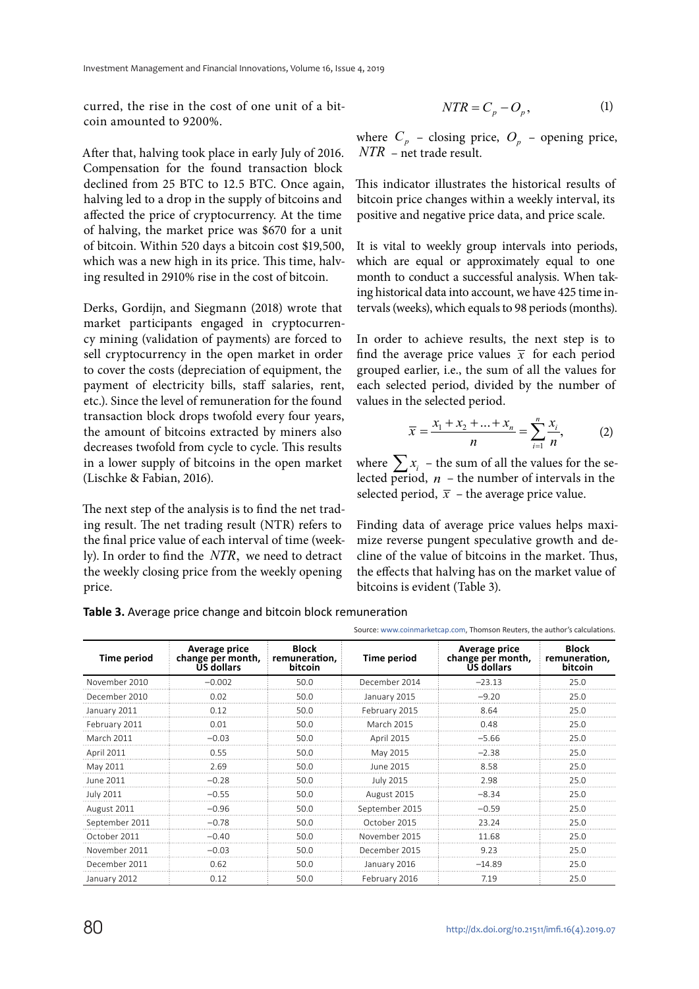curred, the rise in the cost of one unit of a bitcoin amounted to 9200%.

After that, halving took place in early July of 2016. Compensation for the found transaction block declined from 25 BTC to 12.5 BTC. Once again, halving led to a drop in the supply of bitcoins and affected the price of cryptocurrency. At the time of halving, the market price was \$670 for a unit of bitcoin. Within 520 days a bitcoin cost \$19,500, which was a new high in its price. This time, halving resulted in 2910% rise in the cost of bitcoin.

Derks, Gordijn, and Siegmann (2018) wrote that market participants engaged in cryptocurrency mining (validation of payments) are forced to sell cryptocurrency in the open market in order to cover the costs (depreciation of equipment, the payment of electricity bills, staff salaries, rent, etc.). Since the level of remuneration for the found transaction block drops twofold every four years, the amount of bitcoins extracted by miners also decreases twofold from cycle to cycle. This results in a lower supply of bitcoins in the open market (Lischke & Fabian, 2016).

The next step of the analysis is to find the net trading result. The net trading result (NTR) refers to the final price value of each interval of time (weekly). In order to find the *NTR*, we need to detract the weekly closing price from the weekly opening price.

$$
NTR = C_p - O_p, \tag{1}
$$

where  $C_p$  – closing price,  $O_p$  – opening price, *NTR* – net trade result.

This indicator illustrates the historical results of bitcoin price changes within a weekly interval, its positive and negative price data, and price scale.

It is vital to weekly group intervals into periods, which are equal or approximately equal to one month to conduct a successful analysis. When taking historical data into account, we have 425 time intervals (weeks), which equals to 98 periods (months).

In order to achieve results, the next step is to find the average price values  $\bar{x}$  for each period grouped earlier, i.e., the sum of all the values for each selected period, divided by the number of values in the selected period.

$$
\overline{x} = \frac{x_1 + x_2 + \dots + x_n}{n} = \sum_{i=1}^{n} \frac{x_i}{n},
$$
 (2)

where  $\sum x_i$  – the sum of all the values for the selected period,  $n -$  the number of intervals in the selected period,  $\bar{x}$  – the average price value.

Finding data of average price values helps maximize reverse pungent speculative growth and decline of the value of bitcoins in the market. Thus, the effects that halving has on the market value of bitcoins is evident (Table 3).

Source: [www.coinmarketcap.com,](http://www.coinmarketcap.com) Thomson Reuters, the author's calculations.

| <b>Time period</b> | Average price<br>change per month,<br><b>US dollars</b> | <b>Block</b><br>remuneration,<br>bitcoin | Time period       | Average price<br>change per month,<br><b>US dollars</b> | <b>Block</b><br>remuneration,<br>bitcoin |  |  |
|--------------------|---------------------------------------------------------|------------------------------------------|-------------------|---------------------------------------------------------|------------------------------------------|--|--|
| November 2010      | $-0.002$                                                | 50.0                                     | December 2014     | $-23.13$                                                | 25.0                                     |  |  |
| December 2010      | 0.02                                                    | 50.0                                     | January 2015      | $-9.20$                                                 | 25.0                                     |  |  |
| January 2011       | 012                                                     | 50.0                                     | February 2015     | 8.64                                                    | 25.0                                     |  |  |
| February 2011      | 0.01                                                    | 50.0                                     | <b>March 2015</b> | 0.48                                                    | 250                                      |  |  |
| March 2011         | $-0.03$                                                 | 50.0                                     | April 2015        | $-5.66$                                                 | 25.0                                     |  |  |
| <b>April 2011</b>  | 0.55                                                    | 50.0                                     | May 2015          | $-2.38$                                                 | 25.0                                     |  |  |
| May 2011           | 2.69                                                    | 50.0                                     | June 2015         | 8.58                                                    | 25.0                                     |  |  |
| June 2011          | $-0.28$                                                 | 50.0                                     | July 2015         | 2.98                                                    | 25.0                                     |  |  |
| July 2011          | $-0.55$                                                 | 50.0                                     | August 2015       | $-8.34$                                                 | 25.0                                     |  |  |
| August 2011        | $-0.96$                                                 | 50.0                                     | September 2015    | $-0.59$                                                 | 25.0                                     |  |  |
| September 2011     | $-0.78$                                                 | 50 Q                                     | October 2015      | 23 24                                                   | 250                                      |  |  |
| October 2011       | $-0.40$                                                 | 50.0                                     | November 2015     | 11.68                                                   | 25.0                                     |  |  |
| November 2011      | $-0.03$                                                 | 50.0                                     | December 2015     | 9.23                                                    | 25.0                                     |  |  |
| December 2011      | 0.62                                                    | 50.0                                     | January 2016      | $-14.89$                                                | 25.0                                     |  |  |
| January 2012       | 0.12                                                    | 50.0                                     | February 2016     | 7.19                                                    | 25.0                                     |  |  |

**Table 3.** Average price change and bitcoin block remuneration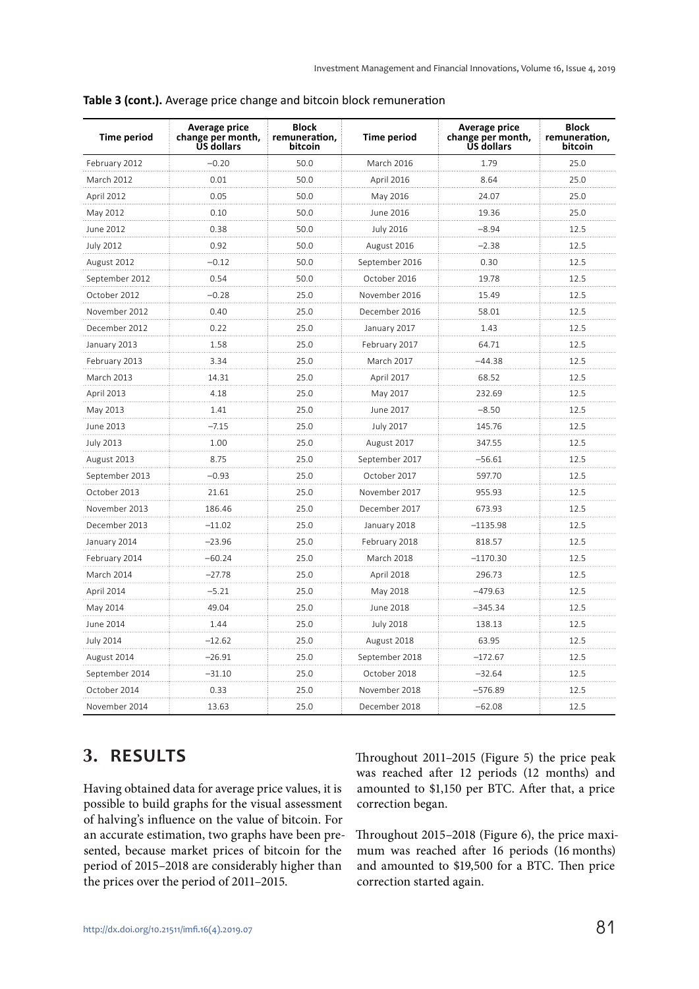| <b>Time period</b> | <b>Average price</b><br>change per month,<br>US dollars | <b>Block</b><br>remuneration,<br>bitcoin | <b>Time period</b> | <b>Average price</b><br>change per month,<br><b>US dollars</b> | <b>Block</b><br>remuneration,<br>bitcoin |
|--------------------|---------------------------------------------------------|------------------------------------------|--------------------|----------------------------------------------------------------|------------------------------------------|
| February 2012      | $-0.20$                                                 | 50.0                                     | March 2016         | 1.79                                                           | 25.0                                     |
| <b>March 2012</b>  | 0.01                                                    | 50.0                                     | April 2016         | 8.64                                                           | 25.0                                     |
| April 2012         | 0.05                                                    | 50.0                                     | May 2016           | 24.07                                                          | 25.0                                     |
| May 2012           | 0.10                                                    | 50.0                                     | June 2016          | 19.36                                                          | 25.0                                     |
| June 2012          | 0.38                                                    | 50.0                                     | <b>July 2016</b>   | -8.94                                                          | 12.5                                     |
| <b>July 2012</b>   | 0.92                                                    | 50.0                                     | August 2016        | $-2.38$                                                        | 12.5                                     |
| August 2012        | $-0.12$                                                 | 50.0                                     | September 2016     | 0.30                                                           | 12.5                                     |
| September 2012     | 0.54                                                    | 50.0                                     | October 2016       | 19.78                                                          | 12.5                                     |
| October 2012       | $-0.28$                                                 | 25.0                                     | November 2016      | 15.49                                                          | 12.5                                     |
| November 2012      | 0.40                                                    | 25.0                                     | December 2016      | 58.01                                                          | 12.5                                     |
| December 2012      | 0.22                                                    | 25.0                                     | January 2017       | 1.43                                                           | 12.5                                     |
| January 2013       | 1.58                                                    | 25.0                                     | February 2017      | 64.71                                                          | 12.5                                     |
| February 2013      | 3.34                                                    | 25.0                                     | March 2017         | $-44.38$                                                       | 12.5                                     |
| March 2013         | 14.31                                                   | 25.0                                     | April 2017         | 68.52                                                          | 12.5                                     |
| April 2013         | 4.18                                                    | 25.0                                     | May 2017           | 232.69                                                         | 12.5                                     |
| May 2013           | 1.41                                                    | 25.0                                     | June 2017          | $-8.50$                                                        | 12.5                                     |
| June 2013          | $-7.15$                                                 | 25.0                                     | <b>July 2017</b>   | 145.76                                                         | 12.5                                     |
| <b>July 2013</b>   | 1.00                                                    | 25.0                                     | August 2017        | 347.55                                                         | 12.5                                     |
| August 2013        | 8.75                                                    | 25.0                                     | September 2017     | –56.61                                                         | 12.5                                     |
| September 2013     | -0.93                                                   | 25.0                                     | October 2017       | 597.70                                                         | 12.5                                     |
| October 2013       | 21.61                                                   | 25.0                                     | November 2017      | 955.93                                                         | 12.5                                     |
| November 2013      | 186.46                                                  | 25.0                                     | December 2017      | 673.93                                                         | 12.5                                     |
| December 2013      | $-11.02$                                                | 25.0                                     | January 2018       | $-1135.98$                                                     | 12.5                                     |
| January 2014       | $-23.96$                                                | 25.0                                     | February 2018      | 818.57                                                         | 12.5                                     |
| February 2014      | $-60.24$                                                | 25.0                                     | March 2018         | $-1170.30$                                                     | 12.5                                     |
| March 2014         | $-27.78$                                                | 25.0                                     | April 2018         | 296.73                                                         | 12.5                                     |
| April 2014         | $-5.21$                                                 | 25.0                                     | May 2018           | $-479.63$                                                      | 12.5                                     |
| May 2014           | 49.04                                                   | 25.0                                     | June 2018          | -345.34                                                        | 12.5                                     |
| June 2014          | 1.44                                                    | 25.0                                     | <b>July 2018</b>   | 138.13                                                         | 12.5                                     |
| <b>July 2014</b>   | $-12.62$                                                | 25.0                                     | August 2018        | 63.95                                                          | 12.5                                     |
| August 2014        | $-26.91$                                                | 25.0                                     | September 2018     | –172.67                                                        | 12.5                                     |
| September 2014     | -31.10                                                  | 25.0                                     | October 2018       | $-32.64$                                                       | 12.5                                     |
| October 2014       | 0.33                                                    | 25.0                                     | November 2018      | -576.89                                                        | 12.5                                     |
| November 2014      | 13.63                                                   | 25.0                                     | December 2018      | $-62.08$                                                       | 12.5                                     |

**Table 3 (cont.).** Average price change and bitcoin block remuneration

### **3. RESULTS**

Having obtained data for average price values, it is possible to build graphs for the visual assessment of halving's influence on the value of bitcoin. For an accurate estimation, two graphs have been presented, because market prices of bitcoin for the period of 2015–2018 are considerably higher than the prices over the period of 2011–2015.

Throughout 2011–2015 (Figure 5) the price peak was reached after 12 periods (12 months) and amounted to \$1,150 per BTC. After that, a price correction began.

Throughout 2015–2018 (Figure 6), the price maximum was reached after 16 periods (16 months) and amounted to \$19,500 for a BTC. Then price correction started again.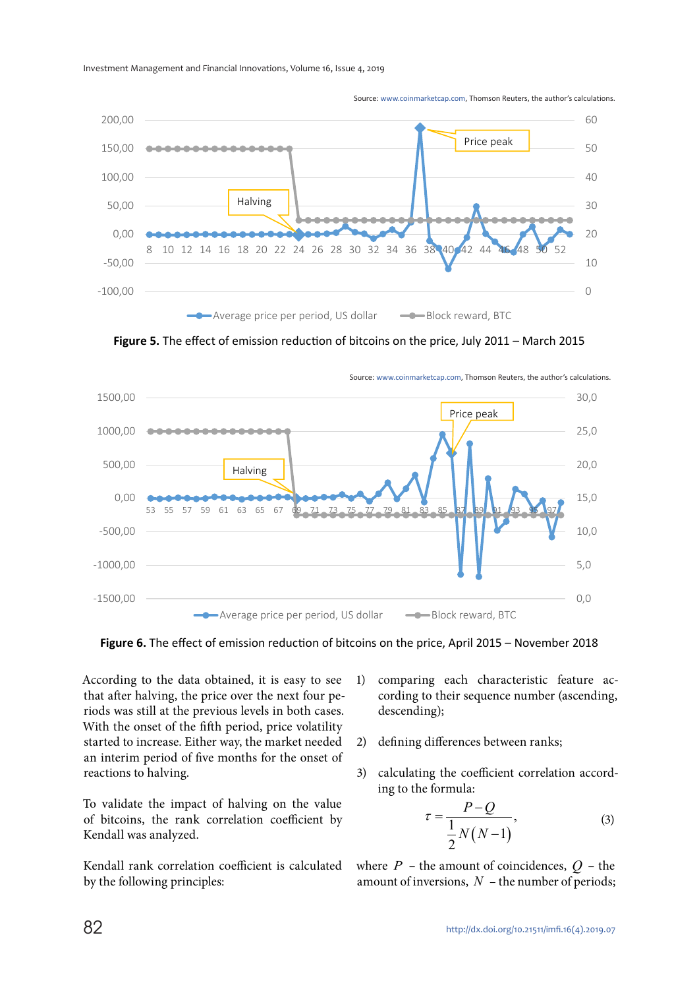

Source: [www.coinmarketcap.com](http://www.coinmarketcap.com), Thomson Reuters, the author's calculations.

**Figure 5.** The effect of emission reduction of bitcoins on the price, July 2011 – March 2015



Source: [www.coinmarketcap.com,](http://www.coinmarketcap.com) Thomson Reuters, the author's calculations.

**Figure 6.** The effect of emission reduction of bitcoins on the price, April 2015 – November 2018

According to the data obtained, it is easy to see that after halving, the price over the next four periods was still at the previous levels in both cases. With the onset of the fifth period, price volatility started to increase. Either way, the market needed an interim period of five months for the onset of reactions to halving.

To validate the impact of halving on the value of bitcoins, the rank correlation coefficient by Kendall was analyzed.

Kendall rank correlation coefficient is calculated by the following principles:

- 1) comparing each characteristic feature according to their sequence number (ascending, descending);
- 2) defining differences between ranks;
- 3) calculating the coefficient correlation according to the formula:

$$
\tau = \frac{P - Q}{\frac{1}{2}N(N-1)},\tag{3}
$$

where  $P$  – the amount of coincidences,  $Q$  – the amount of inversions, *N* – the number of periods;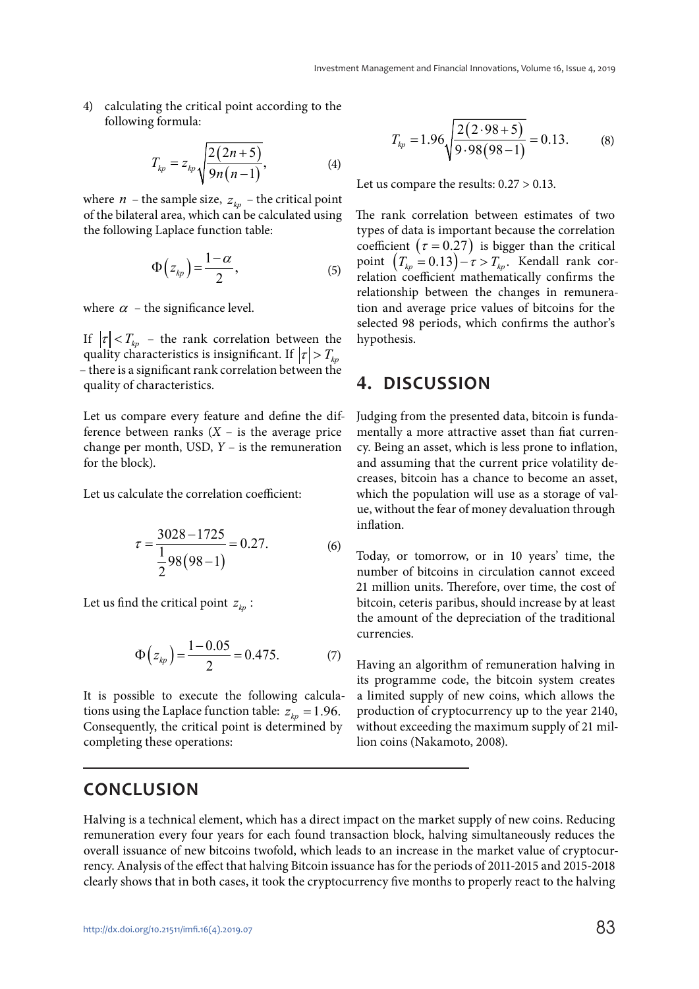4) calculating the critical point according to the following formula:

$$
T_{kp} = z_{kp} \sqrt{\frac{2(2n+5)}{9n(n-1)}},
$$
 (4)

where *n* – the sample size,  $z_{kn}$  – the critical point of the bilateral area, which can be calculated using the following Laplace function table:

$$
\Phi(z_{kp}) = \frac{1-\alpha}{2},\tag{5}
$$

where  $\alpha$  – the significance level.

If  $|\tau| < T_{kp}$  – the rank correlation between the quality characteristics is insignificant. If  $|\tau| > T_{\text{tr}}$ – there is a significant rank correlation between the quality of characteristics.

Let us compare every feature and define the difference between ranks  $(X - i s)$  the average price change per month, USD, *Y* – is the remuneration for the block).

Let us calculate the correlation coefficient:

$$
\tau = \frac{3028 - 1725}{\frac{1}{2}98(98 - 1)} = 0.27.
$$
 (6)

Let us find the critical point  $z_{kn}$ :

$$
\Phi(z_{kp}) = \frac{1 - 0.05}{2} = 0.475. \tag{7}
$$

It is possible to execute the following calculations using the Laplace function table:  $z_{kn} = 1.96$ . Consequently, the critical point is determined by completing these operations:

$$
T_{kp} = 1.96 \sqrt{\frac{2(2.98+5)}{9.98(98-1)}} = 0.13.
$$
 (8)

Let us compare the results: 0.27 > 0.13.

The rank correlation between estimates of two types of data is important because the correlation coefficient ( $\tau = 0.27$ ) is bigger than the critical point  $(T_{kp} = 0.13) - \tau > T_{kp}$ . Kendall rank correlation coefficient mathematically confirms the relationship between the changes in remuneration and average price values of bitcoins for the selected 98 periods, which confirms the author's hypothesis.

### **4. DISCUSSION**

Judging from the presented data, bitcoin is fundamentally a more attractive asset than fiat currency. Being an asset, which is less prone to inflation, and assuming that the current price volatility decreases, bitcoin has a chance to become an asset, which the population will use as a storage of value, without the fear of money devaluation through inflation.

Today, or tomorrow, or in 10 years' time, the number of bitcoins in circulation cannot exceed 21 million units. Therefore, over time, the cost of bitcoin, ceteris paribus, should increase by at least the amount of the depreciation of the traditional currencies.

Having an algorithm of remuneration halving in its programme code, the bitcoin system creates a limited supply of new coins, which allows the production of cryptocurrency up to the year 2140, without exceeding the maximum supply of 21 million coins (Nakamoto, 2008).

### **CONCLUSION**

Halving is a technical element, which has a direct impact on the market supply of new coins. Reducing remuneration every four years for each found transaction block, halving simultaneously reduces the overall issuance of new bitcoins twofold, which leads to an increase in the market value of cryptocurrency. Analysis of the effect that halving Bitcoin issuance has for the periods of 2011-2015 and 2015-2018 clearly shows that in both cases, it took the cryptocurrency five months to properly react to the halving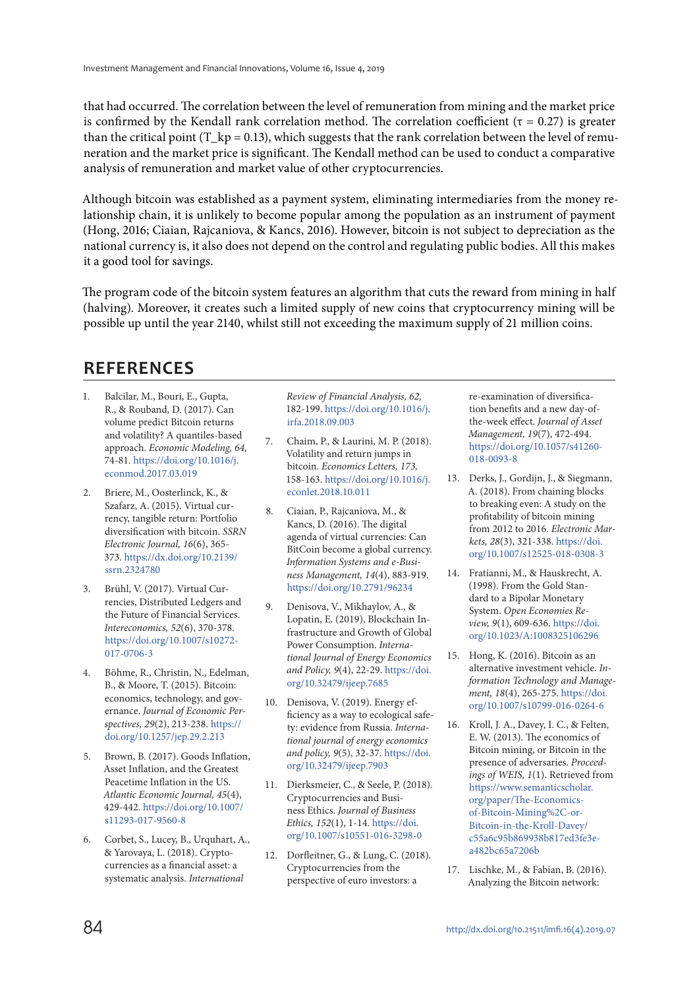that had occurred. The correlation between the level of remuneration from mining and the market price is confirmed by the Kendall rank correlation method. The correlation coefficient ( $\tau$  = 0.27) is greater than the critical point (T\_kp = 0.13), which suggests that the rank correlation between the level of remuneration and the market price is significant. The Kendall method can be used to conduct a comparative analysis of remuneration and market value of other cryptocurrencies.

Although bitcoin was established as a payment system, eliminating intermediaries from the money relationship chain, it is unlikely to become popular among the population as an instrument of payment (Hong, 2016; Ciaian, Rajcaniova, & Kancs, 2016). However, bitcoin is not subject to depreciation as the national currency is, it also does not depend on the control and regulating public bodies. All this makes it a good tool for savings.

The program code of the bitcoin system features an algorithm that cuts the reward from mining in half (halving). Moreover, it creates such a limited supply of new coins that cryptocurrency mining will be possible up until the year 2140, whilst still not exceeding the maximum supply of 21 million coins.

### **REFERENCES**

- 1. Balcilar, M., Bouri, E., Gupta, R., & Rouband, D. (2017). Can volume predict Bitcoin returns and volatility? A quantiles-based approach. *Economic Modeling, 64,* 74-81. [https://doi.org/10.1016/j.](https://doi.org/10.1016/j.econmod.2017.03.019) [econmod.2017.03.019](https://doi.org/10.1016/j.econmod.2017.03.019)
- 2. Briere, M., Oosterlinck, K., & Szafarz, A. (2015). Virtual currency, tangible return: Portfolio diversification with bitcoin. *SSRN Electronic Journal, 16*(6), 365- 373. [https://dx.doi.org/10.2139/](https://dx.doi.org/10.2139/ssrn.2324780) [ssrn.2324780](https://dx.doi.org/10.2139/ssrn.2324780)
- 3. Brühl, V. (2017). Virtual Currencies, Distributed Ledgers and the Future of Financial Services. *Intereconomics, 52*(6), 370-378. [https://doi.org/10.1007/s10272-](https://doi.org/10.1007/s10272-017-0706-3) [017-0706-3](https://doi.org/10.1007/s10272-017-0706-3)
- 4. Böhme, R., Christin, N., Edelman, B., & Moore, T. (2015). Bitcoin: economics, technology, and governance. *Journal of Economic Perspectives, 29*(2), 213-238. [https://](https://doi.org/10.1257/jep.29.2.213) [doi.org/10.1257/jep.29.2.213](https://doi.org/10.1257/jep.29.2.213)
- 5. Brown, B. (2017). Goods Inflation, Asset Inflation, and the Greatest Peacetime Inflation in the US. *Atlantic Economic Journal, 45*(4), 429-442. [https://doi.org/10.1007/](https://doi.org/10.1007/s11293-017-9560-8) [s11293-017-9560-8](https://doi.org/10.1007/s11293-017-9560-8)
- 6. Corbet, S., Lucey, B., Urquhart, A., & Yarovaya, L. (2018). Cryptocurrencies as a financial asset: a systematic analysis. *International*

*Review of Financial Analysis, 62,* 182-199. [https://doi.org/10.1016/j.](https://doi.org/10.1016/j.irfa.2018.09.003) [irfa.2018.09.003](https://doi.org/10.1016/j.irfa.2018.09.003)

- 7. Chaim, P., & Laurini, M. P. (2018). Volatility and return jumps in bitcoin. *Economics Letters, 173,* 158-163. [https://doi.org/10.1016/j.](https://doi.org/10.1016/j.econlet.2018.10.011) [econlet.2018.10.011](https://doi.org/10.1016/j.econlet.2018.10.011)
- 8. Ciaian, P., Rajcaniova, M., & Kancs, D. (2016). The digital agenda of virtual currencies: Can BitCoin become a global currency. *Information Systems and e-Business Management, 14*(4), 883-919. <https://doi.org/10.2791/96234>
- 9. Denisova, V., Mikhaylov, А., & Lopatin, E. (2019), Blockchain Infrastructure and Growth of Global Power Consumption. *International Journal of Energy Economics and Policy, 9*(4), 22-29. [https://doi.](https://doi.org/10.32479/ijeep.7685) [org/10.32479/ijeep.7685](https://doi.org/10.32479/ijeep.7685)
- 10. Denisova, V. (2019). Energy efficiency as a way to ecological safety: evidence from Russia. *International journal of energy economics and policy, 9*(5), 32-37. [https://doi.](https://doi.org/10.32479/ijeep.7903) [org/10.32479/ijeep.7903](https://doi.org/10.32479/ijeep.7903)
- 11. Dierksmeier, C., & Seele, P. (2018). Cryptocurrencies and Business Ethics. *Journal of Business Ethics, 152*(1), 1-14. [https://doi.](https://doi.org/10.1007/s10551-016-3298-0) [org/10.1007/s10551-016-3298-0](https://doi.org/10.1007/s10551-016-3298-0)
- 12. Dorfleitner, G., & Lung, C. (2018). Cryptocurrencies from the perspective of euro investors: a

re-examination of diversification benefits and a new day-ofthe-week effect. *Journal of Asset Management, 19*(7), 472-494. [https://doi.org/10.1057/s41260-](https://doi.org/10.1057/s41260-018-0093-8) [018-0093-8](https://doi.org/10.1057/s41260-018-0093-8)

- 13. Derks, J., Gordijn, J., & Siegmann, A. (2018). From chaining blocks to breaking even: A study on the profitability of bitcoin mining from 2012 to 2016. *Electronic Markets, 28*(3), 321-338. [https://doi.](https://doi.org/10.1007/s12525-018-0308-3) [org/10.1007/s12525-018-0308-3](https://doi.org/10.1007/s12525-018-0308-3)
- 14. Fratianni, M., & Hauskrecht, A. (1998). From the Gold Standard to a Bipolar Monetary System. *Open Economies Review, 9*(1), 609-636. [https://doi.](https://doi.org/10.1023/A:1008325106296) [org/10.1023/A:1008325106296](https://doi.org/10.1023/A:1008325106296)
- 15. Hong, K. (2016). Bitcoin as an alternative investment vehicle. *Information Technology and Management, 18*(4), 265-275. [https://doi.](https://doi.org/10.1007/s10799-016-0264-6) [org/10.1007/s10799-016-0264-6](https://doi.org/10.1007/s10799-016-0264-6)
- 16. Kroll, J. A., Davey, I. C., & Felten, E. W. (2013). The economics of Bitcoin mining, or Bitcoin in the presence of adversaries. *Proceedings of WEIS, 1*(1). Retrieved from [https://www.semanticscholar.](https://www.semanticscholar.org/paper/The-Economics-of-Bitcoin-Mining%2C-or-Bitcoin-in-the-Kroll-Davey/c55a6c95b869938b817ed3fe3ea482bc65a7206b) [org/paper/The-Economics](https://www.semanticscholar.org/paper/The-Economics-of-Bitcoin-Mining%2C-or-Bitcoin-in-the-Kroll-Davey/c55a6c95b869938b817ed3fe3ea482bc65a7206b)[of-Bitcoin-Mining%2C-or-](https://www.semanticscholar.org/paper/The-Economics-of-Bitcoin-Mining%2C-or-Bitcoin-in-the-Kroll-Davey/c55a6c95b869938b817ed3fe3ea482bc65a7206b)[Bitcoin-in-the-Kroll-Davey/](https://www.semanticscholar.org/paper/The-Economics-of-Bitcoin-Mining%2C-or-Bitcoin-in-the-Kroll-Davey/c55a6c95b869938b817ed3fe3ea482bc65a7206b) [c55a6c95b869938b817ed3fe3e](https://www.semanticscholar.org/paper/The-Economics-of-Bitcoin-Mining%2C-or-Bitcoin-in-the-Kroll-Davey/c55a6c95b869938b817ed3fe3ea482bc65a7206b)[a482bc65a7206b](https://www.semanticscholar.org/paper/The-Economics-of-Bitcoin-Mining%2C-or-Bitcoin-in-the-Kroll-Davey/c55a6c95b869938b817ed3fe3ea482bc65a7206b)
- 17. Lischke, M., & Fabian, B. (2016). Analyzing the Bitcoin network: